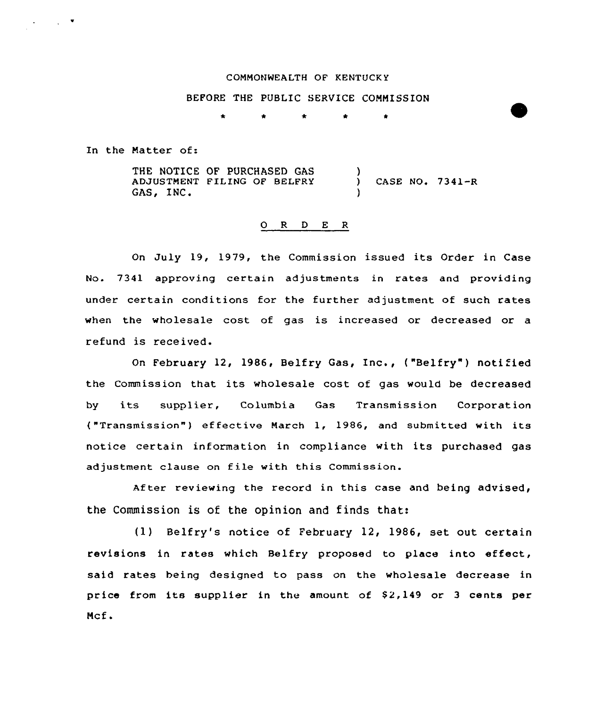#### COMMONWEALTH OF KENTUCK Y

# BEFORE THE PUBLIC SERVICE COMMISSION

In the Natter of:

 $\mathcal{L}_{\text{max}}$  ,  $\mathcal{L}_{\text{max}}$ 

THE NOTICE OF PURCHASED GAS ADJUSTNENT FILING OF BELFRY GAS, INC. ) ) CASE NO, 7341-R )

### O R D E R

On July 19, 1979, the Commission issued its Order in Case No. 7341 approving certain adjustments in rates and providing under certain conditions for the further adjustment of such rates when the wholesale cost of gas is increased or decreased or a refund is received.

On February 12, 1986, Belfry Gas, Inc., ("Belfry") notified the Commission that its wholesale cost of gas would be decreased by its supplier, Columbia Gas Transmission Corporation ("Transmission") effective March 1, 1986, and submitted with its notice certain information in compliance with its purchased gas adjustment clause on file with this Commission.

After reviewing the record in this case and being advised, the Commission is of the opinion and finds that:

(1) Belfry's notice of February 12, 1986, set out certain revisions in rates which Belfry proposed to place into effect, said rates being designed to pass on the wholesale decrease in price from its supplier in the amount of  $$2,149$  or 3 cents per Mcf.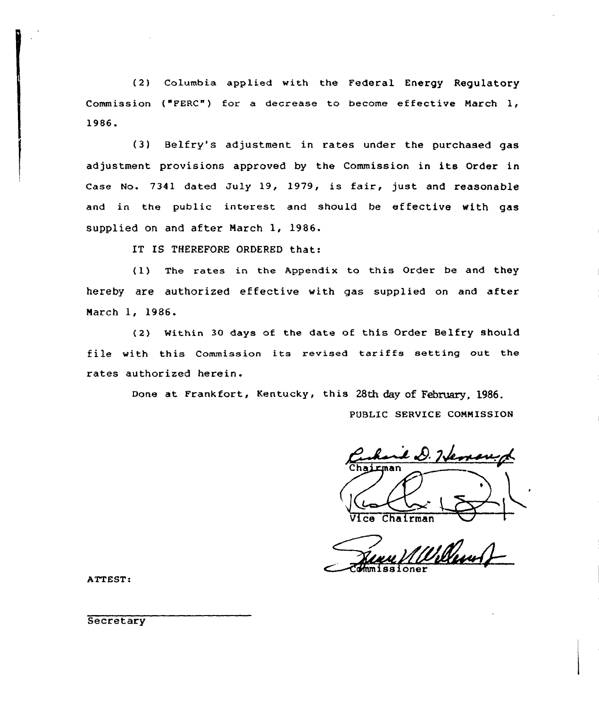(2) Columbia applied with the Federal Energy Regulatory Commission ("PERC") for a decrease to become effective March 1, 1986.

(3) Belfry's adjustment in rates under the purchased gas adjustment provisions approved by the Commission in its Order in Case No. 7341 dated July 19, 1979, is fair, just and reasonable and in the public interest and should be effective with gas supplied on and after March 1, 1986.

IT IS THEREFORE ORDERED that:

(1) The rates in the Appendix to this Order be and they hereby are authorized effective with gas supplied on and after March 1, 1986.

<2) Within 30 days of the date of this Order Belfry should file with this Commission its revised tariffs setting out the rates authorized herein.

Done at Frankfort, Kentucky, this 28th day of February. 1986.

PUBLIC SERVICE COMMISSION

e D. Hemand

 $Chalman$ 

~rHnm iss i oner

ATTEST:

**Secretary**